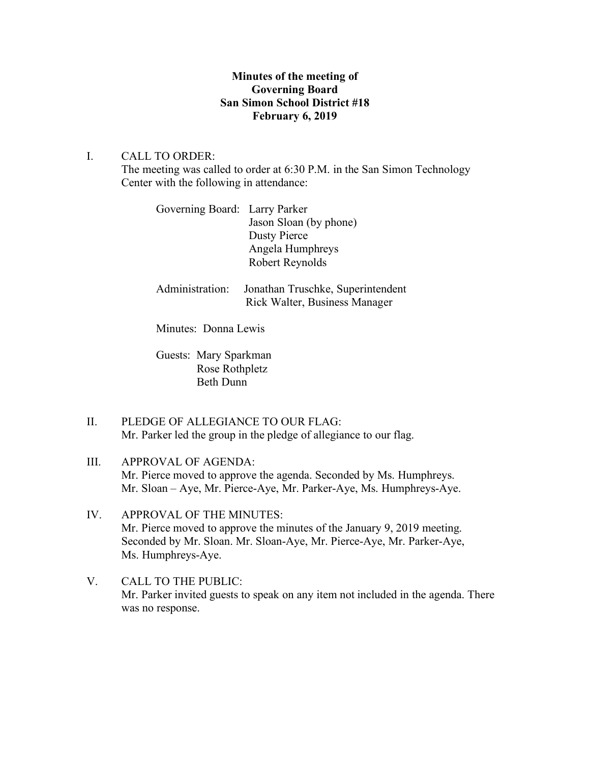# **Minutes of the meeting of Governing Board San Simon School District #18 February 6, 2019**

## I. CALL TO ORDER:

The meeting was called to order at 6:30 P.M. in the San Simon Technology Center with the following in attendance:

| Governing Board: Larry Parker |                        |
|-------------------------------|------------------------|
|                               | Jason Sloan (by phone) |
|                               | Dusty Pierce           |
|                               | Angela Humphreys       |
|                               | Robert Reynolds        |
|                               |                        |

Administration: Jonathan Truschke, Superintendent Rick Walter, Business Manager

Minutes: Donna Lewis

Guests: Mary Sparkman Rose Rothpletz Beth Dunn

- II. PLEDGE OF ALLEGIANCE TO OUR FLAG: Mr. Parker led the group in the pledge of allegiance to our flag.
- III. APPROVAL OF AGENDA: Mr. Pierce moved to approve the agenda. Seconded by Ms. Humphreys. Mr. Sloan – Aye, Mr. Pierce-Aye, Mr. Parker-Aye, Ms. Humphreys-Aye.
- IV. APPROVAL OF THE MINUTES: Mr. Pierce moved to approve the minutes of the January 9, 2019 meeting. Seconded by Mr. Sloan. Mr. Sloan-Aye, Mr. Pierce-Aye, Mr. Parker-Aye, Ms. Humphreys-Aye.
- V. CALL TO THE PUBLIC: Mr. Parker invited guests to speak on any item not included in the agenda. There was no response.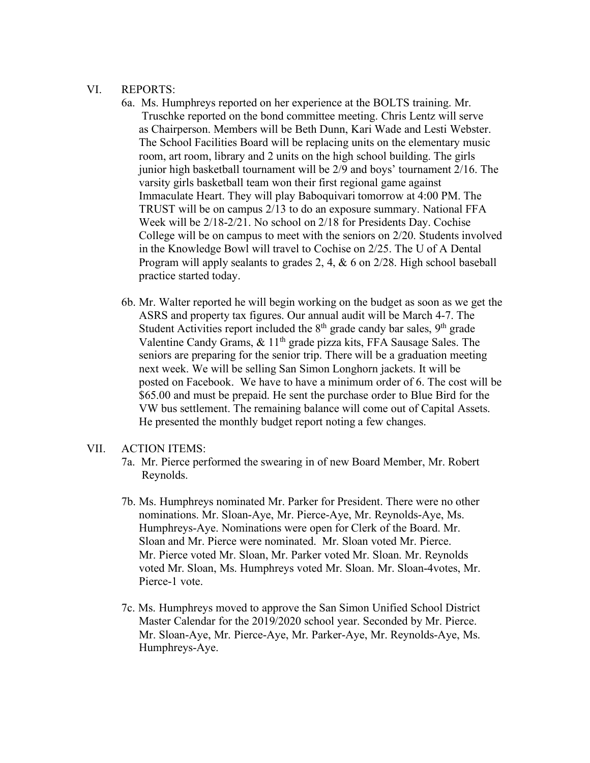### VI. REPORTS:

- 6a. Ms. Humphreys reported on her experience at the BOLTS training. Mr. Truschke reported on the bond committee meeting. Chris Lentz will serve as Chairperson. Members will be Beth Dunn, Kari Wade and Lesti Webster. The School Facilities Board will be replacing units on the elementary music room, art room, library and 2 units on the high school building. The girls junior high basketball tournament will be 2/9 and boys' tournament 2/16. The varsity girls basketball team won their first regional game against Immaculate Heart. They will play Baboquivari tomorrow at 4:00 PM. The TRUST will be on campus 2/13 to do an exposure summary. National FFA Week will be 2/18-2/21. No school on 2/18 for Presidents Day. Cochise College will be on campus to meet with the seniors on 2/20. Students involved in the Knowledge Bowl will travel to Cochise on 2/25. The U of A Dental Program will apply sealants to grades 2, 4, & 6 on 2/28. High school baseball practice started today.
- 6b. Mr. Walter reported he will begin working on the budget as soon as we get the ASRS and property tax figures. Our annual audit will be March 4-7. The Student Activities report included the  $8<sup>th</sup>$  grade candy bar sales,  $9<sup>th</sup>$  grade Valentine Candy Grams, & 11th grade pizza kits, FFA Sausage Sales. The seniors are preparing for the senior trip. There will be a graduation meeting next week. We will be selling San Simon Longhorn jackets. It will be posted on Facebook. We have to have a minimum order of 6. The cost will be \$65.00 and must be prepaid. He sent the purchase order to Blue Bird for the VW bus settlement. The remaining balance will come out of Capital Assets. He presented the monthly budget report noting a few changes.

#### VII. ACTION ITEMS:

- 7a. Mr. Pierce performed the swearing in of new Board Member, Mr. Robert Reynolds.
- 7b. Ms. Humphreys nominated Mr. Parker for President. There were no other nominations. Mr. Sloan-Aye, Mr. Pierce-Aye, Mr. Reynolds-Aye, Ms. Humphreys-Aye. Nominations were open for Clerk of the Board. Mr. Sloan and Mr. Pierce were nominated. Mr. Sloan voted Mr. Pierce. Mr. Pierce voted Mr. Sloan, Mr. Parker voted Mr. Sloan. Mr. Reynolds voted Mr. Sloan, Ms. Humphreys voted Mr. Sloan. Mr. Sloan-4votes, Mr. Pierce-1 vote.
- 7c. Ms. Humphreys moved to approve the San Simon Unified School District Master Calendar for the 2019/2020 school year. Seconded by Mr. Pierce. Mr. Sloan-Aye, Mr. Pierce-Aye, Mr. Parker-Aye, Mr. Reynolds-Aye, Ms. Humphreys-Aye.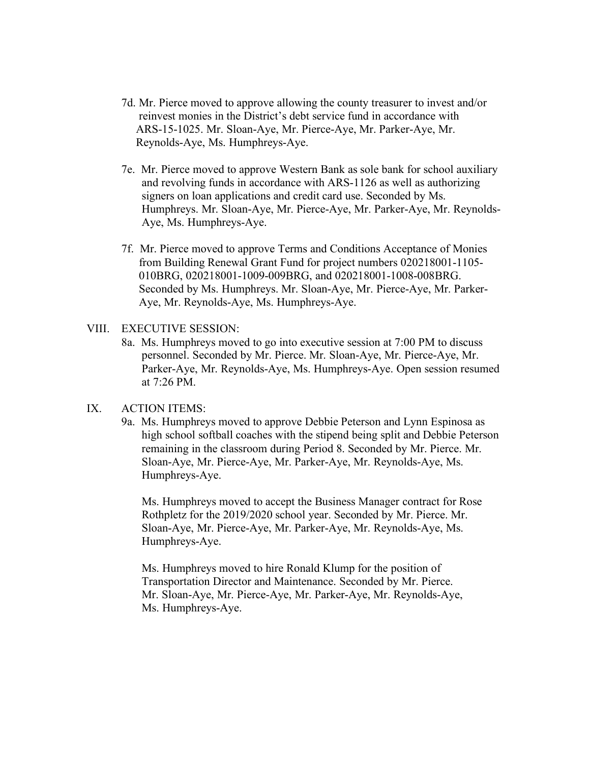- 7d. Mr. Pierce moved to approve allowing the county treasurer to invest and/or reinvest monies in the District's debt service fund in accordance with ARS-15-1025. Mr. Sloan-Aye, Mr. Pierce-Aye, Mr. Parker-Aye, Mr. Reynolds-Aye, Ms. Humphreys-Aye.
- 7e. Mr. Pierce moved to approve Western Bank as sole bank for school auxiliary and revolving funds in accordance with ARS-1126 as well as authorizing signers on loan applications and credit card use. Seconded by Ms. Humphreys. Mr. Sloan-Aye, Mr. Pierce-Aye, Mr. Parker-Aye, Mr. Reynolds- Aye, Ms. Humphreys-Aye.
- 7f. Mr. Pierce moved to approve Terms and Conditions Acceptance of Monies from Building Renewal Grant Fund for project numbers 020218001-1105- 010BRG, 020218001-1009-009BRG, and 020218001-1008-008BRG. Seconded by Ms. Humphreys. Mr. Sloan-Aye, Mr. Pierce-Aye, Mr. Parker- Aye, Mr. Reynolds-Aye, Ms. Humphreys-Aye.

#### VIII. EXECUTIVE SESSION:

8a. Ms. Humphreys moved to go into executive session at 7:00 PM to discuss personnel. Seconded by Mr. Pierce. Mr. Sloan-Aye, Mr. Pierce-Aye, Mr. Parker-Aye, Mr. Reynolds-Aye, Ms. Humphreys-Aye. Open session resumed at 7:26 PM.

## IX. ACTION ITEMS:

9a. Ms. Humphreys moved to approve Debbie Peterson and Lynn Espinosa as high school softball coaches with the stipend being split and Debbie Peterson remaining in the classroom during Period 8. Seconded by Mr. Pierce. Mr. Sloan-Aye, Mr. Pierce-Aye, Mr. Parker-Aye, Mr. Reynolds-Aye, Ms. Humphreys-Aye.

 Ms. Humphreys moved to accept the Business Manager contract for Rose Rothpletz for the 2019/2020 school year. Seconded by Mr. Pierce. Mr. Sloan-Aye, Mr. Pierce-Aye, Mr. Parker-Aye, Mr. Reynolds-Aye, Ms. Humphreys-Aye.

Ms. Humphreys moved to hire Ronald Klump for the position of Transportation Director and Maintenance. Seconded by Mr. Pierce. Mr. Sloan-Aye, Mr. Pierce-Aye, Mr. Parker-Aye, Mr. Reynolds-Aye, Ms. Humphreys-Aye.